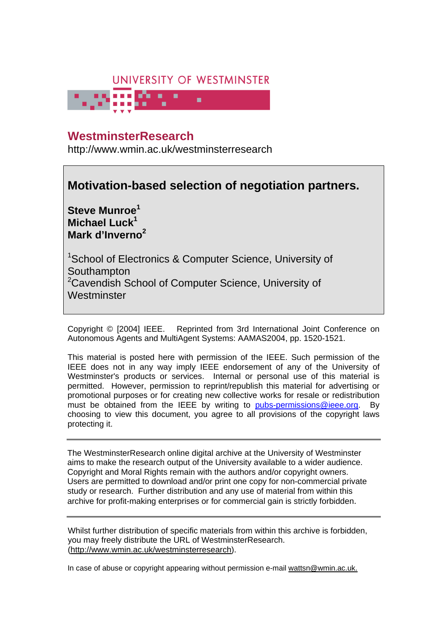# UNIVERSITY OF WESTMINSTER



## **University of Westminster Eprints WestminsterResearch**

http://www.wmin.ac.uk/westminsterresearch

## **Motivation-based selection of negotiation partners.**

**Steve Munroe<sup>1</sup> Michael Luck<sup>1</sup> Mark d'Inverno<sup>2</sup>**

<sup>1</sup>School of Electronics & Computer Science, University of **Southampton** <sup>2</sup>Cavendish School of Computer Science, University of **Westminster** 

Copyright © [2004] IEEE. Reprinted from 3rd International Joint Conference on Autonomous Agents and MultiAgent Systems: AAMAS2004, pp. 1520-1521.

This material is posted here with permission of the IEEE. Such permission of the IEEE does not in any way imply IEEE endorsement of any of the University of Westminster's products or services. Internal or personal use of this material is permitted. However, permission to reprint/republish this material for advertising or promotional purposes or for creating new collective works for resale or redistribution must be obtained from the IEEE by writing to pubs-permissions@ieee.org. By choosing to view this document, you agree to all provisions of the copyright laws protecting it.

The WestminsterResearch online digital archive at the University of Westminster aims to make the research output of the University available to a wider audience. Copyright and Moral Rights remain with the authors and/or copyright owners. Users are permitted to download and/or print one copy for non-commercial private Users are permitted to download and/or print one copy for non-commercial private study or research. Further distribution and any use of material from within this study or research. Further distribution and any use of material from within this archive for profit-making enterprises or for commercial gain is strictly forbidden. archive for profit-making enterprises or for commercial gain is strictly forbidden.

Whilst further distribution of specific materials from within this archive is forbidden, Whilst further distribution of specific materials from within this archive is forbidden, you may freely distribute the URL of WestminsterResearch. (http://www.wmin.ac.uk/westminsterresearch).

In case of abuse or copyright appearing without permission e-mail wattsn@wmin.ac.uk.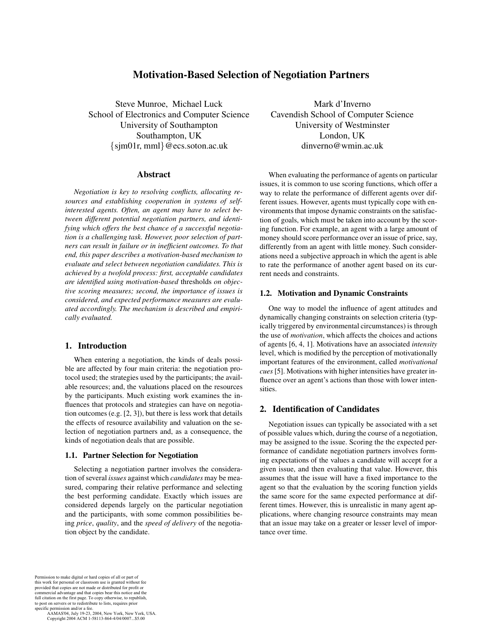### **Motivation-Based Selection of Negotiation Partners**

Steve Munroe, Michael Luck School of Electronics and Computer Science University of Southampton Southampton, UK  $\{\text{sim01r}, \text{mm1}\}$ @ecs.soton.ac.uk

#### **Abstract**

*Negotiation is key to resolving conflicts, allocating resources and establishing cooperation in systems of selfinterested agents. Often, an agent may have to select between different potential negotiation partners, and identifying which offers the best chance of a successful negotiation is a challenging task. However, poor selection of partners can result in failure or in inefficient outcomes. To that end, this paper describes a motivation-based mechanism to evaluate and select between negotiation candidates. This is achieved by a twofold process: first, acceptable candidates are identified using motivation-based* thresholds *on objective scoring measures; second, the importance of issues is considered, and expected performance measures are evaluated accordingly. The mechanism is described and empirically evaluated.*

#### **1. Introduction**

When entering a negotiation, the kinds of deals possible are affected by four main criteria: the negotiation protocol used; the strategies used by the participants; the available resources; and, the valuations placed on the resources by the participants. Much existing work examines the influences that protocols and strategies can have on negotiation outcomes (e.g. [2, 3]), but there is less work that details the effects of resource availability and valuation on the selection of negotiation partners and, as a consequence, the kinds of negotiation deals that are possible.

#### **1.1. Partner Selection for Negotiation**

Selecting a negotiation partner involves the consideration of several *issues* against which *candidates* may be measured, comparing their relative performance and selecting the best performing candidate. Exactly which issues are considered depends largely on the particular negotiation and the participants, with some common possibilities being *price*, *quality*, and the *speed of delivery* of the negotiation object by the candidate.

Mark d'Inverno Cavendish School of Computer Science University of Westminster London, UK dinverno@wmin.ac.uk

When evaluating the performance of agents on particular issues, it is common to use scoring functions, which offer a way to relate the performance of different agents over different issues. However, agents must typically cope with environments that impose dynamic constraints on the satisfaction of goals, which must be taken into account by the scoring function. For example, an agent with a large amount of money should score performance over an issue of price, say, differently from an agent with little money. Such considerations need a subjective approach in which the agent is able to rate the performance of another agent based on its current needs and constraints.

#### **1.2. Motivation and Dynamic Constraints**

One way to model the influence of agent attitudes and dynamically changing constraints on selection criteria (typically triggered by environmental circumstances) is through the use of *motivation*, which affects the choices and actions of agents [6, 4, 1]. Motivations have an associated *intensity* level, which is modified by the perception of motivationally important features of the environment, called *motivational cues*[5]. Motivations with higher intensities have greater influence over an agent's actions than those with lower intensities.

#### **2. Identification of Candidates**

Negotiation issues can typically be associated with a set of possible values which, during the course of a negotiation, may be assigned to the issue. Scoring the the expected performance of candidate negotiation partners involves forming expectations of the values a candidate will accept for a given issue, and then evaluating that value. However, this assumes that the issue will have a fixed importance to the agent so that the evaluation by the scoring function yields the same score for the same expected performance at different times. However, this is unrealistic in many agent applications, where changing resource constraints may mean that an issue may take on a greater or lesser level of importance over time.

Permission to make digital or hard copies of all or part of this work for personal or classroom use is granted without fee provided that copies are not made or distributed for profit or commercial advantage and that copies bear this notice and the full citation on the first page. To copy otherwise, to republish, to post on servers or to redistribute to lists, requires prior specific permission and/or a fee.

 AAMAS'04, July 19-23, 2004, New York, New York, USA. Copyright 2004 ACM 1-58113-864-4/04/0007...\$5.00